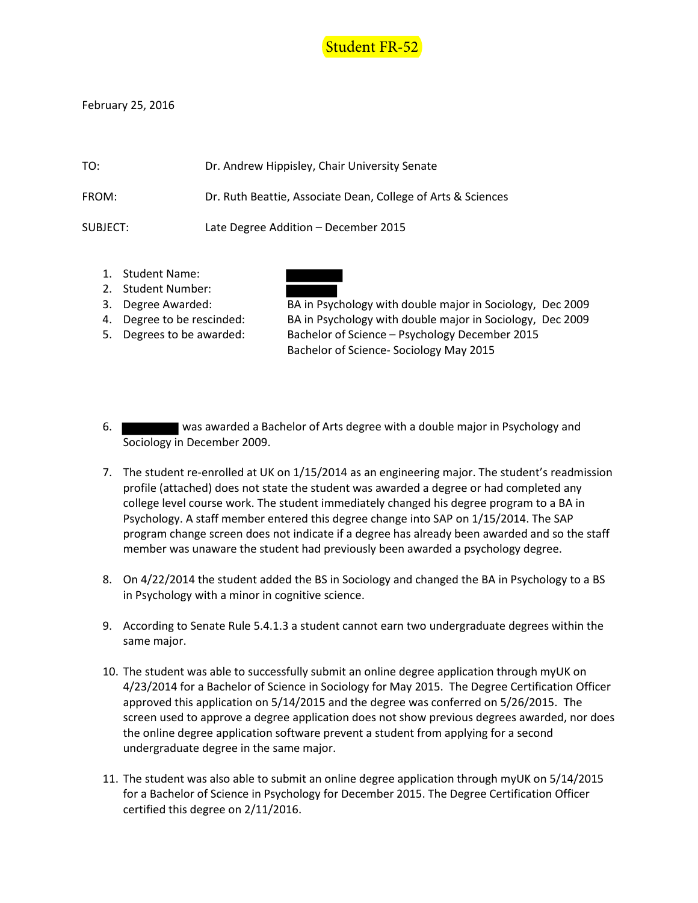

February 25, 2016

| TO:      | Dr. Andrew Hippisley, Chair University Senate                |
|----------|--------------------------------------------------------------|
| FROM:    | Dr. Ruth Beattie, Associate Dean, College of Arts & Sciences |
| SUBJECT: | Late Degree Addition – December 2015                         |

- 1. Student Name:
- 2. Student Number:
- 
- 
- 

3. Degree Awarded: BA in Psychology with double major in Sociology, Dec 2009 4. Degree to be rescinded: BA in Psychology with double major in Sociology, Dec 2009 5. Degrees to be awarded: Bachelor of Science – Psychology December 2015 Bachelor of Science- Sociology May 2015

- 6. was awarded a Bachelor of Arts degree with a double major in Psychology and Sociology in December 2009.
- 7. The student re-enrolled at UK on 1/15/2014 as an engineering major. The student's readmission profile (attached) does not state the student was awarded a degree or had completed any college level course work. The student immediately changed his degree program to a BA in Psychology. A staff member entered this degree change into SAP on 1/15/2014. The SAP program change screen does not indicate if a degree has already been awarded and so the staff member was unaware the student had previously been awarded a psychology degree.
- 8. On 4/22/2014 the student added the BS in Sociology and changed the BA in Psychology to a BS in Psychology with a minor in cognitive science.
- 9. According to Senate Rule 5.4.1.3 a student cannot earn two undergraduate degrees within the same major.
- 10. The student was able to successfully submit an online degree application through myUK on 4/23/2014 for a Bachelor of Science in Sociology for May 2015. The Degree Certification Officer approved this application on 5/14/2015 and the degree was conferred on 5/26/2015. The screen used to approve a degree application does not show previous degrees awarded, nor does the online degree application software prevent a student from applying for a second undergraduate degree in the same major.
- 11. The student was also able to submit an online degree application through myUK on 5/14/2015 for a Bachelor of Science in Psychology for December 2015. The Degree Certification Officer certified this degree on 2/11/2016.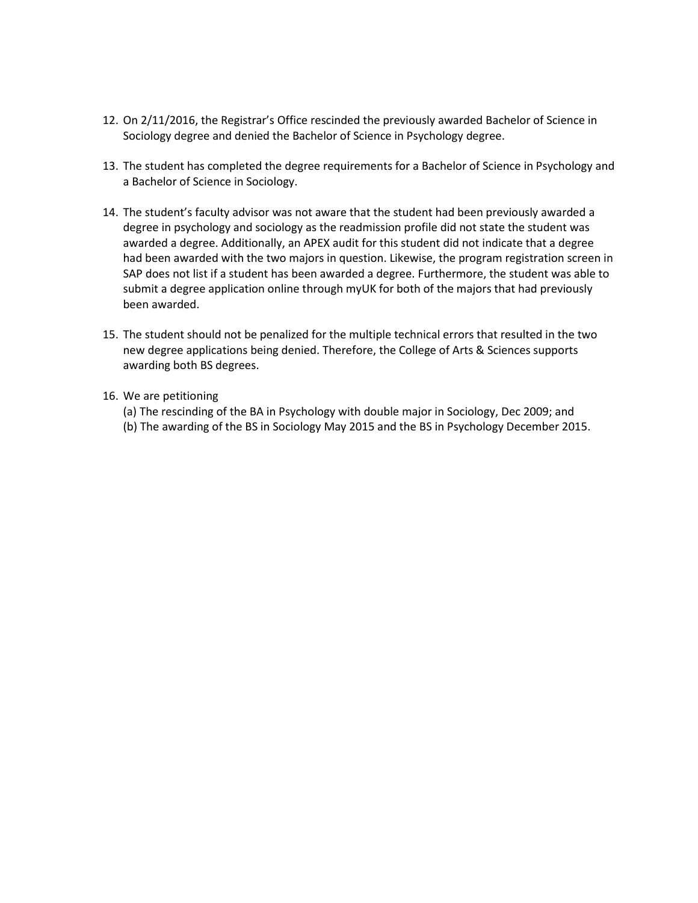- 12. On 2/11/2016, the Registrar's Office rescinded the previously awarded Bachelor of Science in Sociology degree and denied the Bachelor of Science in Psychology degree.
- 13. The student has completed the degree requirements for a Bachelor of Science in Psychology and a Bachelor of Science in Sociology.
- 14. The student's faculty advisor was not aware that the student had been previously awarded a degree in psychology and sociology as the readmission profile did not state the student was awarded a degree. Additionally, an APEX audit for this student did not indicate that a degree had been awarded with the two majors in question. Likewise, the program registration screen in SAP does not list if a student has been awarded a degree. Furthermore, the student was able to submit a degree application online through myUK for both of the majors that had previously been awarded.
- 15. The student should not be penalized for the multiple technical errors that resulted in the two new degree applications being denied. Therefore, the College of Arts & Sciences supports awarding both BS degrees.

### 16. We are petitioning

- (a) The rescinding of the BA in Psychology with double major in Sociology, Dec 2009; and
- (b) The awarding of the BS in Sociology May 2015 and the BS in Psychology December 2015.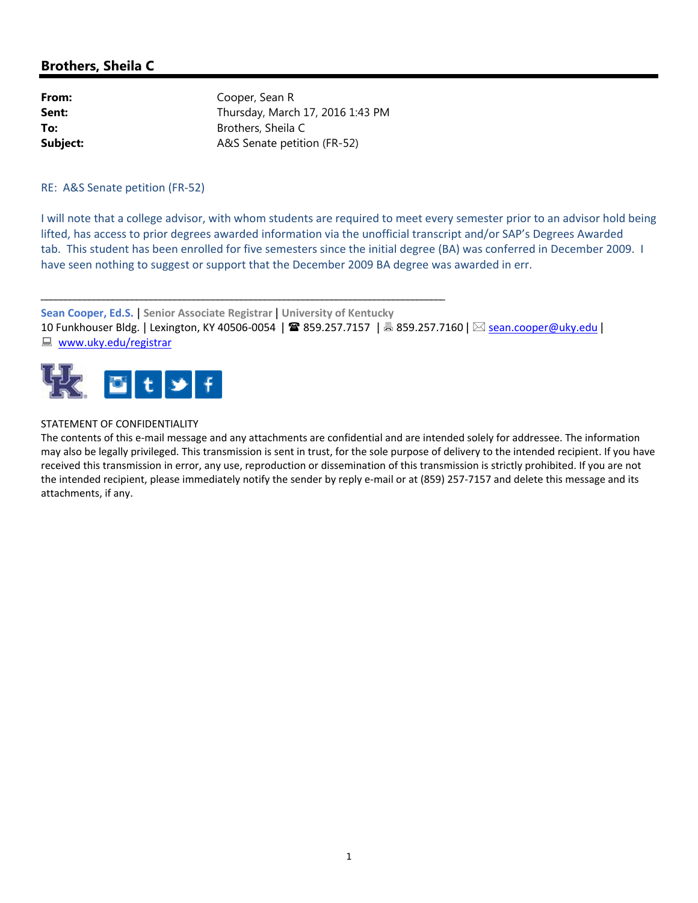# **Brothers, Sheila C**

| From:    | Cooper, Sean R                   |
|----------|----------------------------------|
| Sent:    | Thursday, March 17, 2016 1:43 PM |
| To:      | Brothers, Sheila C               |
| Subject: | A&S Senate petition (FR-52)      |

\_\_\_\_\_\_\_\_\_\_\_\_\_\_\_\_\_\_\_\_\_\_\_\_\_\_\_\_\_\_\_\_\_\_\_\_\_\_\_\_\_\_\_\_\_\_\_\_\_\_\_\_\_\_\_\_\_\_\_\_\_\_\_\_\_\_\_\_\_\_\_\_\_\_\_\_\_\_\_\_\_\_\_\_\_

RE: A&S Senate petition (FR‐52)

I will note that a college advisor, with whom students are required to meet every semester prior to an advisor hold being lifted, has access to prior degrees awarded information via the unofficial transcript and/or SAP's Degrees Awarded tab. This student has been enrolled for five semesters since the initial degree (BA) was conferred in December 2009. I have seen nothing to suggest or support that the December 2009 BA degree was awarded in err.

**Sean Cooper, Ed.S.** | **Senior Associate Registrar** | **University of Kentucky** 10 Funkhouser Bldg. | Lexington, KY 40506-0054 | ☎ 859.257.7157 | 禹 859.257.7160 | ⊠ sean.cooper@uky.edu | **WWW.uky.edu/registrar** 



### STATEMENT OF CONFIDENTIALITY

The contents of this e-mail message and any attachments are confidential and are intended solely for addressee. The information may also be legally privileged. This transmission is sent in trust, for the sole purpose of delivery to the intended recipient. If you have received this transmission in error, any use, reproduction or dissemination of this transmission is strictly prohibited. If you are not the intended recipient, please immediately notify the sender by reply e-mail or at (859) 257-7157 and delete this message and its attachments, if any.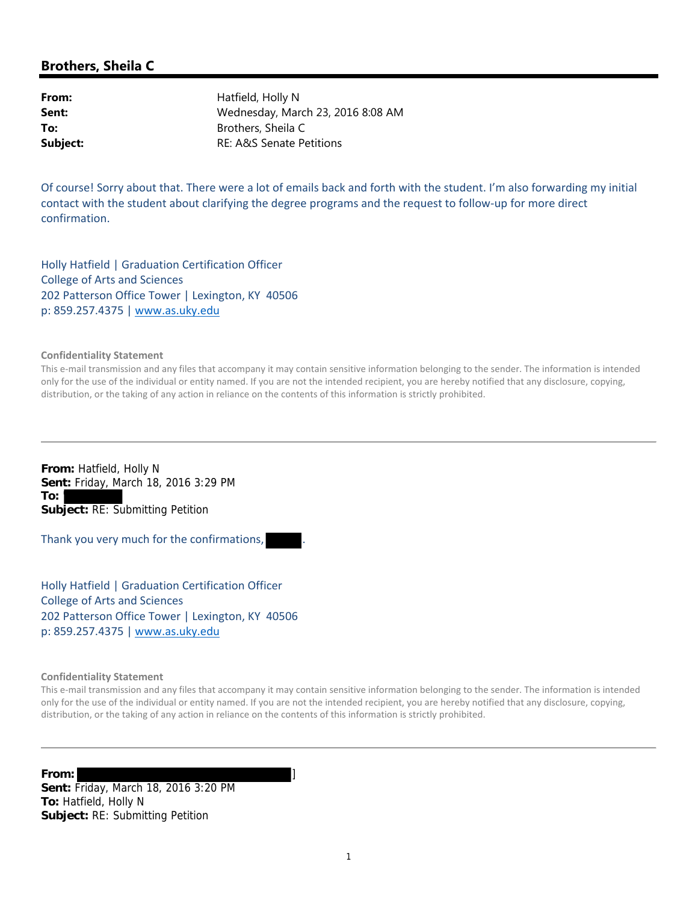## **Brothers, Sheila C**

| Hatfield, Holly N                 |
|-----------------------------------|
| Wednesday, March 23, 2016 8:08 AM |
| Brothers, Sheila C                |
| RE: A&S Senate Petitions          |
|                                   |

Of course! Sorry about that. There were a lot of emails back and forth with the student. I'm also forwarding my initial contact with the student about clarifying the degree programs and the request to follow‐up for more direct confirmation.

Holly Hatfield | Graduation Certification Officer College of Arts and Sciences 202 Patterson Office Tower | Lexington, KY 40506 p: 859.257.4375 | www.as.uky.edu

#### **Confidentiality Statement**

This e-mail transmission and any files that accompany it may contain sensitive information belonging to the sender. The information is intended only for the use of the individual or entity named. If you are not the intended recipient, you are hereby notified that any disclosure, copying, distribution, or the taking of any action in reliance on the contents of this information is strictly prohibited.

**From:** Hatfield, Holly N **Sent:** Friday, March 18, 2016 3:29 PM **To:** ' **Subject:** RE: Submitting Petition

Thank you very much for the confirmations,

Holly Hatfield | Graduation Certification Officer College of Arts and Sciences 202 Patterson Office Tower | Lexington, KY 40506 p: 859.257.4375 | www.as.uky.edu

**Confidentiality Statement**

This e-mail transmission and any files that accompany it may contain sensitive information belonging to the sender. The information is intended only for the use of the individual or entity named. If you are not the intended recipient, you are hereby notified that any disclosure, copying, distribution, or the taking of any action in reliance on the contents of this information is strictly prohibited.

**From:** ] **Sent:** Friday, March 18, 2016 3:20 PM **To:** Hatfield, Holly N **Subject:** RE: Submitting Petition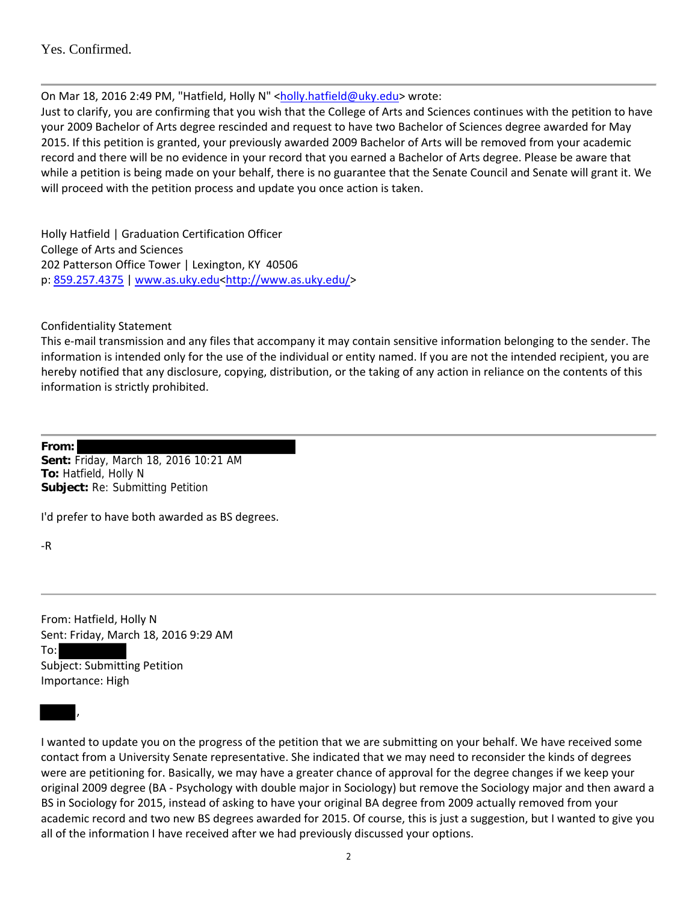On Mar 18, 2016 2:49 PM, "Hatfield, Holly N" <holly.hatfield@uky.edu> wrote:

Just to clarify, you are confirming that you wish that the College of Arts and Sciences continues with the petition to have your 2009 Bachelor of Arts degree rescinded and request to have two Bachelor of Sciences degree awarded for May 2015. If this petition is granted, your previously awarded 2009 Bachelor of Arts will be removed from your academic record and there will be no evidence in your record that you earned a Bachelor of Arts degree. Please be aware that while a petition is being made on your behalf, there is no guarantee that the Senate Council and Senate will grant it. We will proceed with the petition process and update you once action is taken.

Holly Hatfield | Graduation Certification Officer College of Arts and Sciences 202 Patterson Office Tower | Lexington, KY 40506 p: 859.257.4375 | www.as.uky.edu<http://www.as.uky.edu/>

Confidentiality Statement

This e‐mail transmission and any files that accompany it may contain sensitive information belonging to the sender. The information is intended only for the use of the individual or entity named. If you are not the intended recipient, you are hereby notified that any disclosure, copying, distribution, or the taking of any action in reliance on the contents of this information is strictly prohibited.

**From:**

**Sent:** Friday, March 18, 2016 10:21 AM **To:** Hatfield, Holly N **Subject:** Re: Submitting Petition

I'd prefer to have both awarded as BS degrees.

‐R

,

From: Hatfield, Holly N Sent: Friday, March 18, 2016 9:29 AM To: Subject: Submitting Petition Importance: High

I wanted to update you on the progress of the petition that we are submitting on your behalf. We have received some contact from a University Senate representative. She indicated that we may need to reconsider the kinds of degrees were are petitioning for. Basically, we may have a greater chance of approval for the degree changes if we keep your original 2009 degree (BA ‐ Psychology with double major in Sociology) but remove the Sociology major and then award a BS in Sociology for 2015, instead of asking to have your original BA degree from 2009 actually removed from your academic record and two new BS degrees awarded for 2015. Of course, this is just a suggestion, but I wanted to give you all of the information I have received after we had previously discussed your options.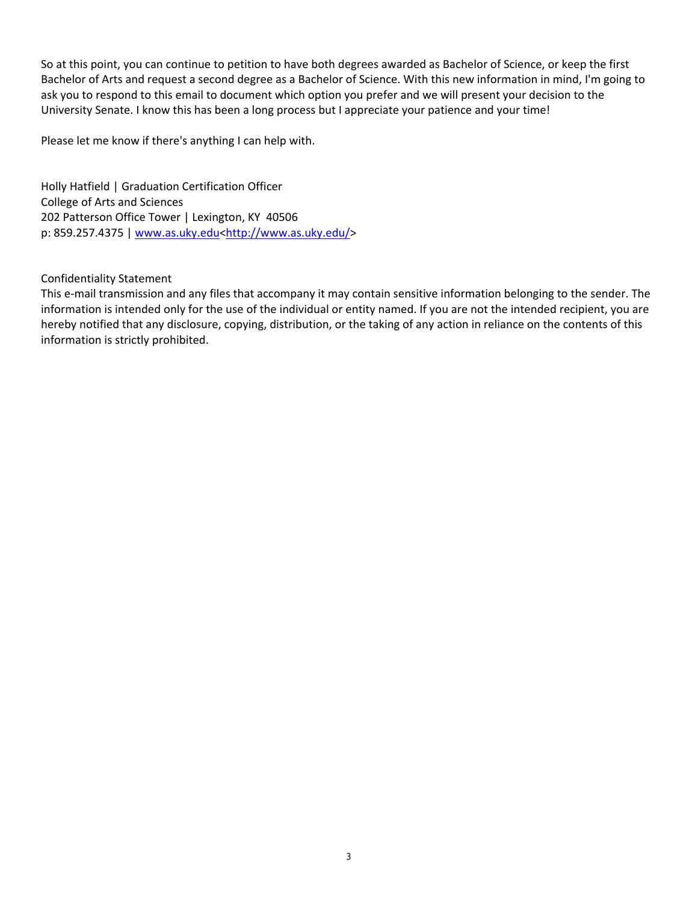So at this point, you can continue to petition to have both degrees awarded as Bachelor of Science, or keep the first Bachelor of Arts and request a second degree as a Bachelor of Science. With this new information in mind, I'm going to ask you to respond to this email to document which option you prefer and we will present your decision to the University Senate. I know this has been a long process but I appreciate your patience and your time!

Please let me know if there's anything I can help with.

Holly Hatfield | Graduation Certification Officer College of Arts and Sciences 202 Patterson Office Tower | Lexington, KY 40506 p: 859.257.4375 | www.as.uky.edu<http://www.as.uky.edu/>

## Confidentiality Statement

This e-mail transmission and any files that accompany it may contain sensitive information belonging to the sender. The information is intended only for the use of the individual or entity named. If you are not the intended recipient, you are hereby notified that any disclosure, copying, distribution, or the taking of any action in reliance on the contents of this information is strictly prohibited.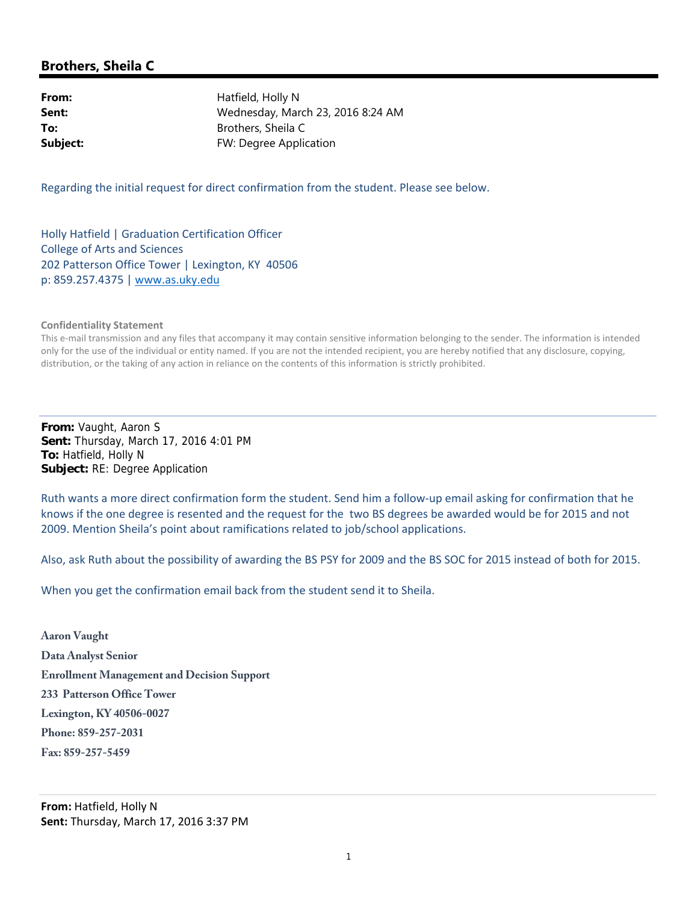# **Brothers, Sheila C**

**From:** Hatfield, Holly N **Sent:** Wednesday, March 23, 2016 8:24 AM **To:** Brothers, Sheila C **Subject:** FW: Degree Application

Regarding the initial request for direct confirmation from the student. Please see below.

Holly Hatfield | Graduation Certification Officer College of Arts and Sciences 202 Patterson Office Tower | Lexington, KY 40506 p: 859.257.4375 | www.as.uky.edu

#### **Confidentiality Statement**

This e-mail transmission and any files that accompany it may contain sensitive information belonging to the sender. The information is intended only for the use of the individual or entity named. If you are not the intended recipient, you are hereby notified that any disclosure, copying, distribution, or the taking of any action in reliance on the contents of this information is strictly prohibited.

**From:** Vaught, Aaron S **Sent:** Thursday, March 17, 2016 4:01 PM **To:** Hatfield, Holly N **Subject:** RE: Degree Application

Ruth wants a more direct confirmation form the student. Send him a follow‐up email asking for confirmation that he knows if the one degree is resented and the request for the two BS degrees be awarded would be for 2015 and not 2009. Mention Sheila's point about ramifications related to job/school applications.

Also, ask Ruth about the possibility of awarding the BS PSY for 2009 and the BS SOC for 2015 instead of both for 2015.

When you get the confirmation email back from the student send it to Sheila.

**Aaron Vaught Data Analyst Senior Enrollment Management and Decision Support 233 Patterson Office Tower Lexington, KY 40506-0027 Phone: 859-257-2031 Fax: 859-257-5459** 

**From:** Hatfield, Holly N **Sent:** Thursday, March 17, 2016 3:37 PM